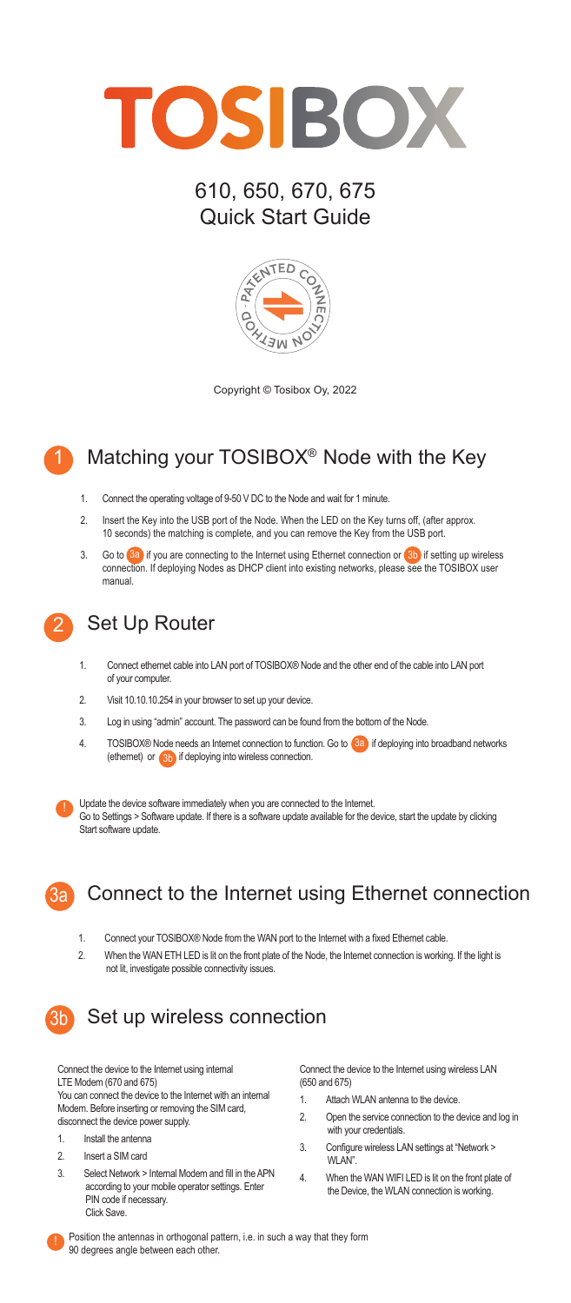

## 610, 650, 670, 675 Quick Start Guide



Copyright © Tosibox Oy, 2022



# 1 Matching your TOSIBOX<sup>®</sup> Node with the Key

- 1. Connect the operating voltage of 9-50 V DC to the Node and wait for 1 minute.
- 2. Insert the Key into the USB port of the Node. When the LED on the Key turns off, (after approx. 10 seconds) the matching is complete, and you can remove the Key from the USB port.
- 3. Go to  $\overline{3a}$  if you are connecting to the Internet using Ethernet connection or  $\overline{3b}$  if setting up wireless connection. If deploying Nodes as DHCP client into existing networks, please see the TOSIBOX user manual.



### 2 Set Up Router

- 1. Connect ethernet cable into LAN port of TOSIBOX® Node and the other end of the cable into LAN port of your computer.
- 2. Visit 10.10.10.254 in your browser to set up your device.
- 3. Log in using "admin" account. The password can be found from the bottom of the Node.
- 4. TOSIBOX® Node needs an Internet connection to function. Go to (3a) if deploying into broadband networks (ethernet) or (3b) if deploying into wireless connection.



Update the device software immediately when you are connected to the Internet. Go to Settings > Software update. If there is a software update available for the device, start the update by clicking Start software update.



Connect to the Internet using Ethernet connection

- 1. Connect your TOSIBOX® Node from the WAN port to the Internet with a fixed Ethernet cable.
- 2. When the WAN ETH LED is lit on the front plate of the Node, the Internet connection is working. If the light is not lit, investigate possible connectivity issues.

### 3b Set up wireless connection

Connect the device to the Internet using internal LTE Modem (670 and 675) You can connect the device to the Internet with an internal

Modem. Before inserting or removing the SIM card, disconnect the device power supply.

- 1. Install the antenna
- 2. Insert a SIM card
- 3. Select Network > Internal Modem and fill in the APN according to your mobile operator settings. Enter PIN code if necessary. Click Save.

Connect the device to the Internet using wireless LAN (650 and 675)

- 1. Attach WLAN antenna to the device.
- 2. Open the service connection to the device and log in with your credentials.
- 3. Configure wireless LAN settings at "Network > WLAN".
- 4. When the WAN WIFI LED is lit on the front plate of the Device, the WLAN connection is working.